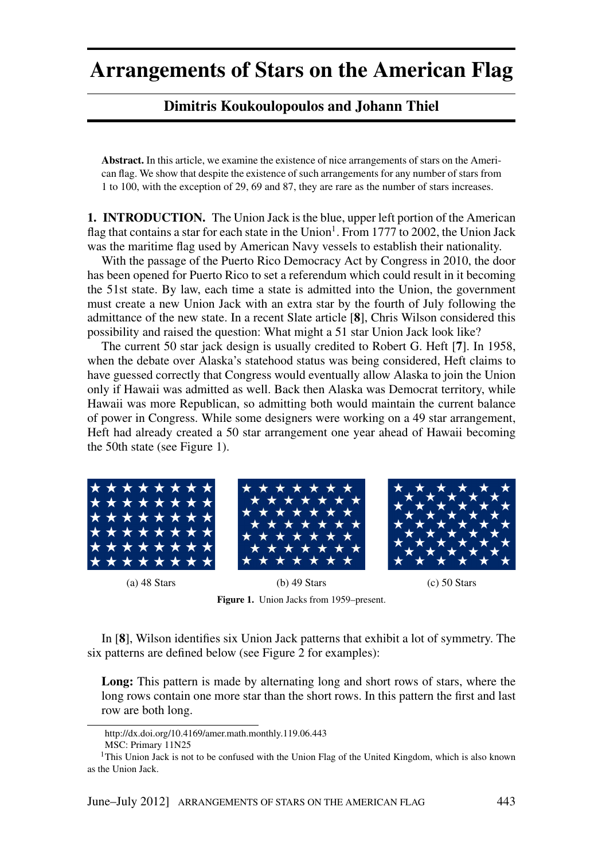## **Arrangements of Stars on the American Flag**

## **Dimitris Koukoulopoulos and Johann Thiel**

**Abstract.** In this article, we examine the existence of nice arrangements of stars on the American flag. We show that despite the existence of such arrangements for any number of stars from 1 to 100, with the exception of 29, 69 and 87, they are rare as the number of stars increases.

**1. INTRODUCTION.** The Union Jack is the blue, upper left portion of the American flag that contains a star for each state in the Union<sup>1</sup>. From 1777 to 2002, the Union Jack was the maritime flag used by American Navy vessels to establish their nationality.

With the passage of the Puerto Rico Democracy Act by Congress in 2010, the door has been opened for Puerto Rico to set a referendum which could result in it becoming the 51st state. By law, each time a state is admitted into the Union, the government must create a new Union Jack with an extra star by the fourth of July following the admittance of the new state. In a recent Slate article [8], Chris Wilson considered this possibility and raised the question: What might a 51 star Union Jack look like?

The current 50 star jack design is usually credited to Robert G. Heft [7]. In 1958, when the debate over Alaska's statehood status was being considered, Heft claims to have guessed correctly that Congress would eventually allow Alaska to join the Union only if Hawaii was admitted as well. Back then Alaska was Democrat territory, while Hawaii was more Republican, so admitting both would maintain the current balance of power in Congress. While some designers were working on a 49 star arrangement, Heft had already created a 50 star arrangement one year ahead of Hawaii becoming the 50th state (see Figure 1).



 $(c)$  50 Stars

 $(b)$  49 Stars Figure 1. Union Jacks from 1959–present.

In [8], Wilson identifies six Union Jack patterns that exhibit a lot of symmetry. The six patterns are defined below (see Figure 2 for examples):

Long: This pattern is made by alternating long and short rows of stars, where the long rows contain one more star than the short rows. In this pattern the first and last row are both long.

 $(a)$  48 Stars

http://dx.doi.org/10.4169/amer.math.monthly.119.06.443

MSC: Primary 11N25

<sup>&</sup>lt;sup>1</sup>This Union Jack is not to be confused with the Union Flag of the United Kingdom, which is also known as the Union Jack.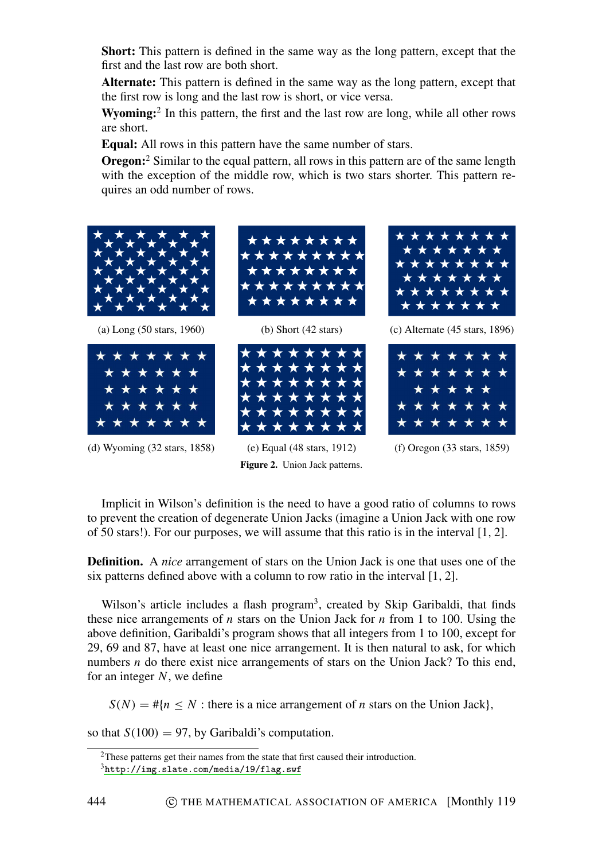**Short:** This pattern is defined in the same way as the long pattern, except that the first and the last row are both short.

Alternate: This pattern is defined in the same way as the long pattern, except that the first row is long and the last row is short, or vice versa.

**Wyoming:**<sup>2</sup> In this pattern, the first and the last row are long, while all other rows are short

Equal: All rows in this pattern have the same number of stars.

**Oregon:**<sup>2</sup> Similar to the equal pattern, all rows in this pattern are of the same length with the exception of the middle row, which is two stars shorter. This pattern requires an odd number of rows.



(a) Long (50 stars, 1960)



(d) Wyoming (32 stars, 1858)



(b) Short  $(42 \text{ stars})$ 



(e) Equal  $(48 \text{ stars}, 1912)$ Figure 2. Union Jack patterns.



 $(c)$  Alternate (45 stars, 1896)



 $(f)$  Oregon  $(33 \text{ stars}, 1859)$ 

Implicit in Wilson's definition is the need to have a good ratio of columns to rows to prevent the creation of degenerate Union Jacks (imagine a Union Jack with one row of 50 stars!). For our purposes, we will assume that this ratio is in the interval  $[1, 2]$ .

**Definition.** A nice arrangement of stars on the Union Jack is one that uses one of the six patterns defined above with a column to row ratio in the interval [1, 2].

Wilson's article includes a flash program<sup>3</sup>, created by Skip Garibaldi, that finds these nice arrangements of *n* stars on the Union Jack for *n* from 1 to 100. Using the above definition, Garibaldi's program shows that all integers from 1 to 100, except for 29, 69 and 87, have at least one nice arrangement. It is then natural to ask, for which numbers  $n$  do there exist nice arrangements of stars on the Union Jack? To this end, for an integer  $N$ , we define

 $S(N) = #{n \leq N : \text{there is a nice arrangement of } n \text{ stars on the Union Jack}.}$ 

so that  $S(100) = 97$ , by Garibaldi's computation.

 $2$ These patterns get their names from the state that first caused their introduction.

 $3$ http://img.slate.com/media/19/flag.swf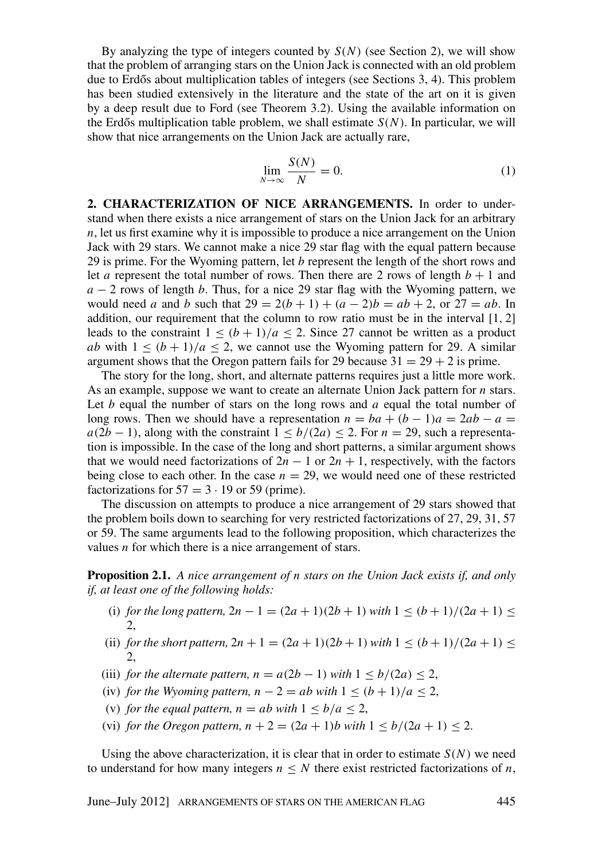By analyzing the type of integers counted by  $S(N)$  (see Section 2), we will show that the problem of arranging stars on the Union Jack is connected with an old problem due to Erdős about multiplication tables of integers (see Sections 3, 4). This problem has been studied extensively in the literature and the state of the art on it is given by a deep result due to Ford (see Theorem 3.2). Using the available information on the Erdős multiplication table problem, we shall estimate  $S(N)$ . In particular, we will show that nice arrangements on the Union Jack are actually rare,

$$
\lim_{N \to \infty} \frac{S(N)}{N} = 0.
$$
\n(1)

2. CHARACTERIZATION OF NICE ARRANGEMENTS. In order to understand when there exists a nice arrangement of stars on the Union Jack for an arbitrary  $n$ , let us first examine why it is impossible to produce a nice arrangement on the Union Jack with 29 stars. We cannot make a nice 29 star flag with the equal pattern because 29 is prime. For the Wyoming pattern, let  $b$  represent the length of the short rows and let *a* represent the total number of rows. Then there are 2 rows of length  $b + 1$  and  $a-2$  rows of length b. Thus, for a nice 29 star flag with the Wyoming pattern, we would need *a* and *b* such that  $29 = 2(b + 1) + (a - 2)b = ab + 2$ , or  $27 = ab$ . In addition, our requirement that the column to row ratio must be in the interval  $[1, 2]$ leads to the constraint  $1 \le (b+1)/a \le 2$ . Since 27 cannot be written as a product *ab* with  $1 \le (b+1)/a \le 2$ , we cannot use the Wyoming pattern for 29. A similar argument shows that the Oregon pattern fails for 29 because  $31 = 29 + 2$  is prime.

The story for the long, short, and alternate patterns requires just a little more work. As an example, suppose we want to create an alternate Union Jack pattern for  $n$  stars. Let b equal the number of stars on the long rows and  $a$  equal the total number of long rows. Then we should have a representation  $n = ba + (b - 1)a = 2ab - a$  $a(2b-1)$ , along with the constraint  $1 \le b/(2a) \le 2$ . For  $n = 29$ , such a representation is impossible. In the case of the long and short patterns, a similar argument shows that we would need factorizations of  $2n - 1$  or  $2n + 1$ , respectively, with the factors being close to each other. In the case  $n = 29$ , we would need one of these restricted factorizations for  $57 = 3 \cdot 19$  or 59 (prime).

The discussion on attempts to produce a nice arrangement of 29 stars showed that the problem boils down to searching for very restricted factorizations of 27, 29, 31, 57 or 59. The same arguments lead to the following proposition, which characterizes the values  $n$  for which there is a nice arrangement of stars.

**Proposition 2.1.** A nice arrangement of n stars on the Union Jack exists if, and only if, at least one of the following holds:

- (i) for the long pattern,  $2n 1 = (2a + 1)(2b + 1)$  with  $1 \le (b + 1)/(2a + 1) \le$ 2,
- (ii) for the short pattern,  $2n + 1 = (2a + 1)(2b + 1)$  with  $1 \le (b + 1)/(2a + 1) \le$  $2.$
- (iii) for the alternate pattern,  $n = a(2b 1)$  with  $1 \le b/(2a) \le 2$ ,
- (iv) for the Wyoming pattern,  $n 2 = ab$  with  $1 \le (b + 1)/a \le 2$ ,
- (v) for the equal pattern,  $n = ab$  with  $1 \le b/a < 2$ ,
- (vi) for the Oregon pattern,  $n + 2 = (2a + 1)b$  with  $1 \le b/(2a + 1) \le 2$ .

Using the above characterization, it is clear that in order to estimate  $S(N)$  we need to understand for how many integers  $n \leq N$  there exist restricted factorizations of n,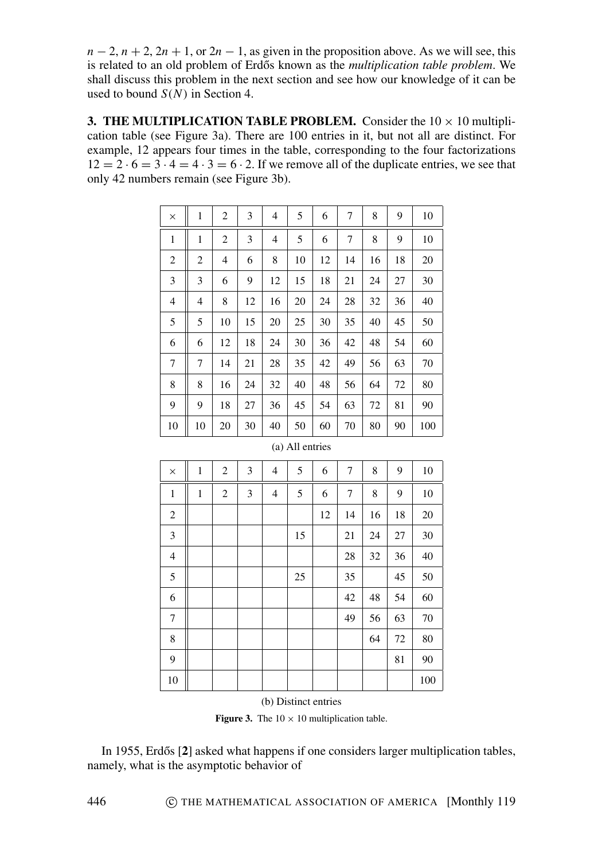$n-2$ ,  $n+2$ ,  $2n+1$ , or  $2n-1$ , as given in the proposition above. As we will see, this is related to an old problem of Erdős known as the multiplication table problem. We shall discuss this problem in the next section and see how our knowledge of it can be used to bound  $S(N)$  in Section 4.

3. THE MULTIPLICATION TABLE PROBLEM. Consider the  $10 \times 10$  multiplication table (see Figure 3a). There are 100 entries in it, but not all are distinct. For example, 12 appears four times in the table, corresponding to the four factorizations  $12 = 2 \cdot 6 = 3 \cdot 4 = 4 \cdot 3 = 6 \cdot 2$ . If we remove all of the duplicate entries, we see that only 42 numbers remain (see Figure 3b).

| $\times$       | 1  | 2              | 3  | 4  | 5  | 6  | 7  | 8  | 9  | 10  |
|----------------|----|----------------|----|----|----|----|----|----|----|-----|
| 1              | 1  | $\overline{2}$ | 3  | 4  | 5  | 6  | 7  | 8  | 9  | 10  |
| 2              | 2  | 4              | 6  | 8  | 10 | 12 | 14 | 16 | 18 | 20  |
| 3              | 3  | 6              | 9  | 12 | 15 | 18 | 21 | 24 | 27 | 30  |
| $\overline{4}$ | 4  | 8              | 12 | 16 | 20 | 24 | 28 | 32 | 36 | 40  |
| 5              | 5  | 10             | 15 | 20 | 25 | 30 | 35 | 40 | 45 | 50  |
| 6              | 6  | 12             | 18 | 24 | 30 | 36 | 42 | 48 | 54 | 60  |
| 7              | 7  | 14             | 21 | 28 | 35 | 42 | 49 | 56 | 63 | 70  |
| 8              | 8  | 16             | 24 | 32 | 40 | 48 | 56 | 64 | 72 | 80  |
| 9              | 9  | 18             | 27 | 36 | 45 | 54 | 63 | 72 | 81 | 90  |
| 10             | 10 | 20             | 30 | 40 | 50 | 60 | 70 | 80 | 90 | 100 |

|  | (a) All entries |
|--|-----------------|
|  |                 |

| $\times$         | $\mathbf{1}$ | $\overline{c}$ | 3 | 4              | 5  | 6  | 7  | 8  | 9  | 10  |
|------------------|--------------|----------------|---|----------------|----|----|----|----|----|-----|
| $\,1$            | $\mathbf{1}$ | $\overline{c}$ | 3 | $\overline{4}$ | 5  | 6  | 7  | 8  | 9  | 10  |
| $\overline{c}$   |              |                |   |                |    | 12 | 14 | 16 | 18 | 20  |
| $\mathfrak 3$    |              |                |   |                | 15 |    | 21 | 24 | 27 | 30  |
| $\overline{4}$   |              |                |   |                |    |    | 28 | 32 | 36 | 40  |
| $\sqrt{5}$       |              |                |   |                | 25 |    | 35 |    | 45 | 50  |
| 6                |              |                |   |                |    |    | 42 | 48 | 54 | 60  |
| $\boldsymbol{7}$ |              |                |   |                |    |    | 49 | 56 | 63 | 70  |
| $\,$ 8 $\,$      |              |                |   |                |    |    |    | 64 | 72 | 80  |
| 9                |              |                |   |                |    |    |    |    | 81 | 90  |
| 10               |              |                |   |                |    |    |    |    |    | 100 |

(b) Distinct entries

**Figure 3.** The  $10 \times 10$  multiplication table.

In 1955, Erdős [2] asked what happens if one considers larger multiplication tables, namely, what is the asymptotic behavior of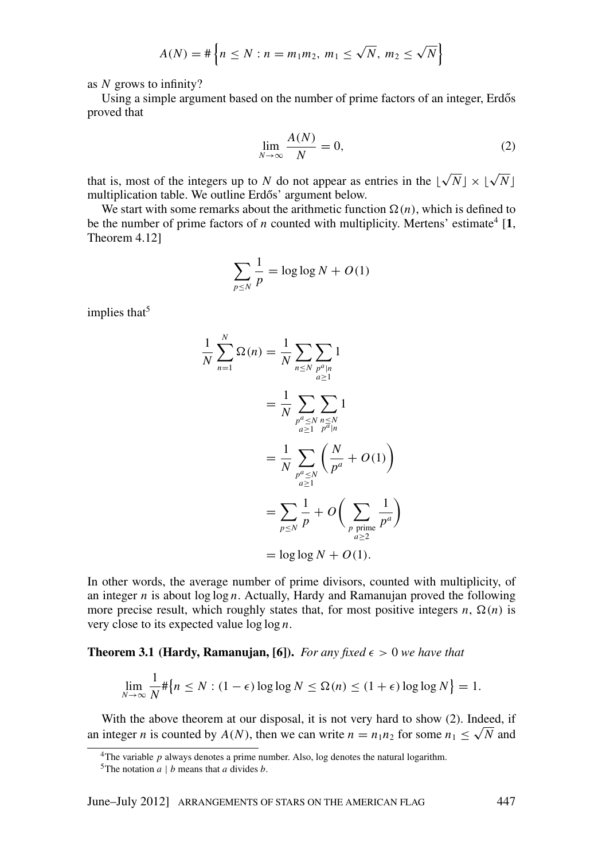$$
A(N) = # \left\{ n \le N : n = m_1 m_2, m_1 \le \sqrt{N}, m_2 \le \sqrt{N} \right\}
$$

as  $N$  grows to infinity?

Using a simple argument based on the number of prime factors of an integer. Erdős proved that

$$
\lim_{N \to \infty} \frac{A(N)}{N} = 0,\tag{2}
$$

that is, most of the integers up to N do not appear as entries in the  $\lfloor \sqrt{N} \rfloor \times \lfloor \sqrt{N} \rfloor$ multiplication table. We outline Erdős' argument below.

We start with some remarks about the arithmetic function  $\Omega(n)$ , which is defined to be the number of prime factors of *n* counted with multiplicity. Mertens' estimate<sup>4</sup> [1, Theorem 4.121

$$
\sum_{p \le N} \frac{1}{p} = \log \log N + O(1)
$$

implies that<sup>5</sup>

$$
\frac{1}{N} \sum_{n=1}^{N} \Omega(n) = \frac{1}{N} \sum_{n \le N} \sum_{\substack{p^a|n \ p^a \le 1}} 1
$$
  
= 
$$
\frac{1}{N} \sum_{\substack{p^a \le N \\ a \ge 1}} \sum_{\substack{n \le N \\ p^a|n}} 1
$$
  
= 
$$
\frac{1}{N} \sum_{\substack{p^a \le N \\ a \ge 1}} \left( \frac{N}{p^a} + O(1) \right)
$$
  
= 
$$
\sum_{p \le N} \frac{1}{p} + O\left( \sum_{\substack{p \text{ prime} \\ n \ge 2}} \frac{1}{p^a} \right)
$$
  
= 
$$
\log \log N + O(1).
$$

In other words, the average number of prime divisors, counted with multiplicity, of an integer  $n$  is about  $\log \log n$ . Actually, Hardy and Ramanujan proved the following more precise result, which roughly states that, for most positive integers  $n$ ,  $\Omega(n)$  is very close to its expected value  $\log \log n$ .

## **Theorem 3.1 (Hardy, Ramanujan, [6]).** For any fixed  $\epsilon > 0$  we have that

$$
\lim_{N \to \infty} \frac{1}{N} \# \{ n \le N : (1 - \epsilon) \log \log N \le \Omega(n) \le (1 + \epsilon) \log \log N \} = 1.
$$

With the above theorem at our disposal, it is not very hard to show (2). Indeed, if an integer *n* is counted by  $A(N)$ , then we can write  $n = n_1 n_2$  for some  $n_1 \le \sqrt{N}$  and

<sup>&</sup>lt;sup>4</sup>The variable  $p$  always denotes a prime number. Also, log denotes the natural logarithm.

<sup>&</sup>lt;sup>5</sup>The notation  $a \mid b$  means that a divides b.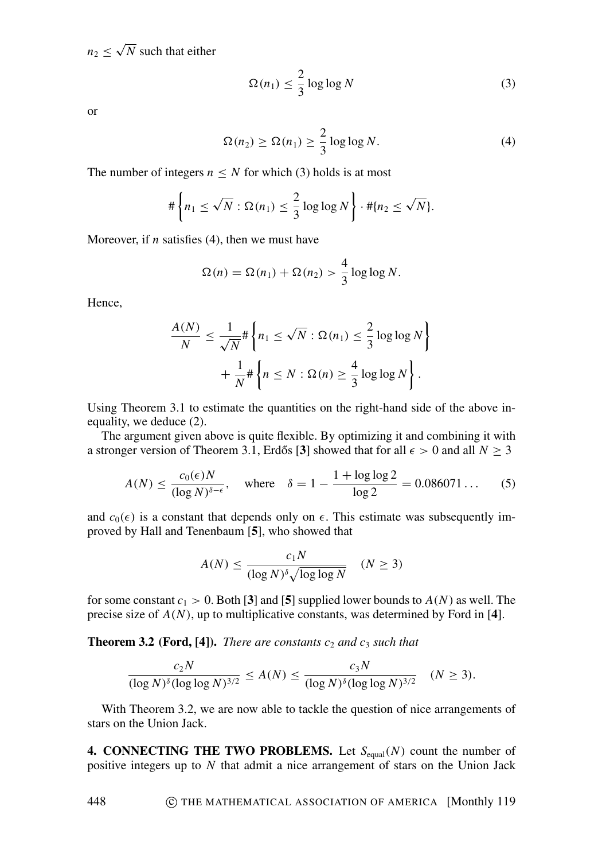$n_2 \leq \sqrt{N}$  such that either

$$
\Omega(n_1) \le \frac{2}{3} \log \log N \tag{3}
$$

**or** 

$$
\Omega(n_2) \ge \Omega(n_1) \ge \frac{2}{3} \log \log N. \tag{4}
$$

The number of integers  $n \leq N$  for which (3) holds is at most

$$
\#\left\{n_1\leq \sqrt{N}:\Omega(n_1)\leq \frac{2}{3}\log\log N\right\}\cdot \#\{n_2\leq \sqrt{N}\}.
$$

Moreover, if *n* satisfies (4), then we must have

$$
\Omega(n) = \Omega(n_1) + \Omega(n_2) > \frac{4}{3} \log \log N.
$$

Hence,

448

$$
\frac{A(N)}{N} \le \frac{1}{\sqrt{N}} \# \left\{ n_1 \le \sqrt{N} : \Omega(n_1) \le \frac{2}{3} \log \log N \right\}
$$

$$
+ \frac{1}{N} \# \left\{ n \le N : \Omega(n) \ge \frac{4}{3} \log \log N \right\}.
$$

Using Theorem 3.1 to estimate the quantities on the right-hand side of the above inequality, we deduce (2).

The argument given above is quite flexible. By optimizing it and combining it with a stronger version of Theorem 3.1, Erdős [3] showed that for all  $\epsilon > 0$  and all  $N \ge 3$ 

$$
A(N) \le \frac{c_0(\epsilon)N}{(\log N)^{\delta - \epsilon}}, \quad \text{where} \quad \delta = 1 - \frac{1 + \log \log 2}{\log 2} = 0.086071 \dots \tag{5}
$$

and  $c_0(\epsilon)$  is a constant that depends only on  $\epsilon$ . This estimate was subsequently improved by Hall and Tenenbaum [5], who showed that

$$
A(N) \le \frac{c_1 N}{(\log N)^{\delta} \sqrt{\log \log N}} \quad (N \ge 3)
$$

for some constant  $c_1 > 0$ . Both [3] and [5] supplied lower bounds to  $A(N)$  as well. The precise size of  $A(N)$ , up to multiplicative constants, was determined by Ford in [4].

**Theorem 3.2 (Ford, [4]).** There are constants  $c_2$  and  $c_3$  such that

$$
\frac{c_2 N}{(\log N)^{\delta} (\log \log N)^{3/2}} \le A(N) \le \frac{c_3 N}{(\log N)^{\delta} (\log \log N)^{3/2}} \quad (N \ge 3).
$$

With Theorem 3.2, we are now able to tackle the question of nice arrangements of stars on the Union Jack.

**4. CONNECTING THE TWO PROBLEMS.** Let  $S_{\text{equal}}(N)$  count the number of positive integers up to  $N$  that admit a nice arrangement of stars on the Union Jack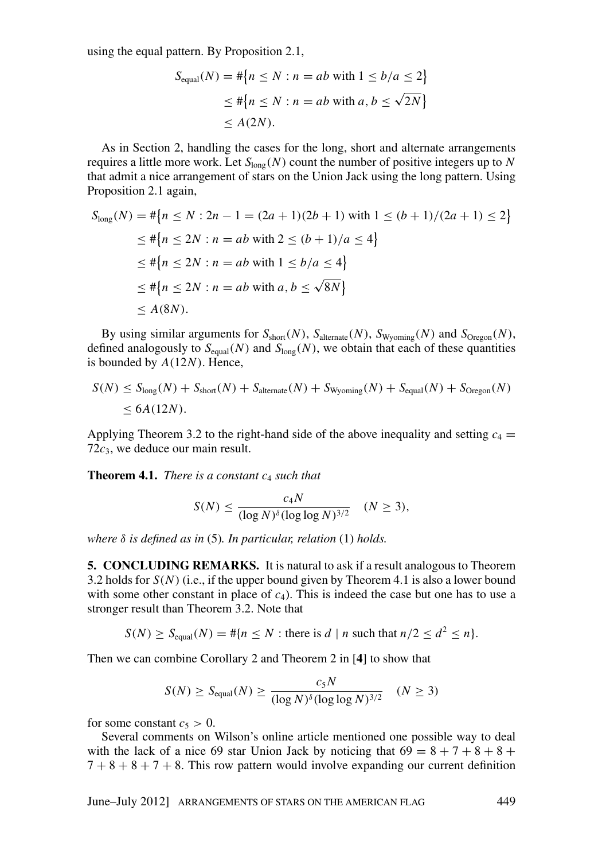using the equal pattern. By Proposition 2.1,

$$
S_{\text{equal}}(N) = #\{n \le N : n = ab \text{ with } 1 \le b/a \le 2\}
$$
  

$$
\le #\{n \le N : n = ab \text{ with } a, b \le \sqrt{2N}\}
$$
  

$$
\le A(2N).
$$

As in Section 2, handling the cases for the long, short and alternate arrangements requires a little more work. Let  $S_{\text{long}}(N)$  count the number of positive integers up to N that admit a nice arrangement of stars on the Union Jack using the long pattern. Using Proposition 2.1 again,

$$
S_{\text{long}}(N) = #\{n \le N : 2n - 1 = (2a + 1)(2b + 1) \text{ with } 1 \le (b + 1)/(2a + 1) \le 2\}
$$
  
\n
$$
\le #\{n \le 2N : n = ab \text{ with } 2 \le (b + 1)/a \le 4\}
$$
  
\n
$$
\le #\{n \le 2N : n = ab \text{ with } 1 \le b/a \le 4\}
$$
  
\n
$$
\le #\{n \le 2N : n = ab \text{ with } a, b \le \sqrt{8N}\}
$$
  
\n
$$
\le A(8N)
$$

By using similar arguments for  $S_{short}(N)$ ,  $S_{alternate}(N)$ ,  $S_{Wyoming}(N)$  and  $S_{Oregon}(N)$ , defined analogously to  $S_{equal}(N)$  and  $S_{long}(N)$ , we obtain that each of these quantities is bounded by  $A(12N)$ . Hence,

$$
S(N) \leq S_{\text{long}}(N) + S_{\text{short}}(N) + S_{\text{alternate}}(N) + S_{\text{Wyoming}}(N) + S_{\text{equal}}(N) + S_{\text{oregon}}(N)
$$
  

$$
\leq 6A(12N).
$$

Applying Theorem 3.2 to the right-hand side of the above inequality and setting  $c_4 =$  $72c_3$ , we deduce our main result.

**Theorem 4.1.** There is a constant  $c_4$  such that

$$
S(N) \le \frac{c_4 N}{(\log N)^{\delta} (\log \log N)^{3/2}} \quad (N \ge 3),
$$

where  $\delta$  is defined as in (5). In particular, relation (1) holds.

5. CONCLUDING REMARKS. It is natural to ask if a result analogous to Theorem 3.2 holds for  $S(N)$  (i.e., if the upper bound given by Theorem 4.1 is also a lower bound with some other constant in place of  $c_4$ ). This is indeed the case but one has to use a stronger result than Theorem 3.2. Note that

$$
S(N) \geq S_{\text{equal}}(N) = \# \{ n \leq N : \text{there is } d \mid n \text{ such that } n/2 \leq d^2 \leq n \}.
$$

Then we can combine Corollary 2 and Theorem 2 in  $[4]$  to show that

$$
S(N) \ge S_{\text{equal}}(N) \ge \frac{c_5 N}{(\log N)^{\delta} (\log \log N)^{3/2}} \quad (N \ge 3)
$$

for some constant  $c_5 > 0$ .

Several comments on Wilson's online article mentioned one possible way to deal with the lack of a nice 69 star Union Jack by noticing that  $69 = 8 + 7 + 8 + 8 +$  $7 + 8 + 8 + 7 + 8$ . This row pattern would involve expanding our current definition

June-July 2012] ARRANGEMENTS OF STARS ON THE AMERICAN FLAG